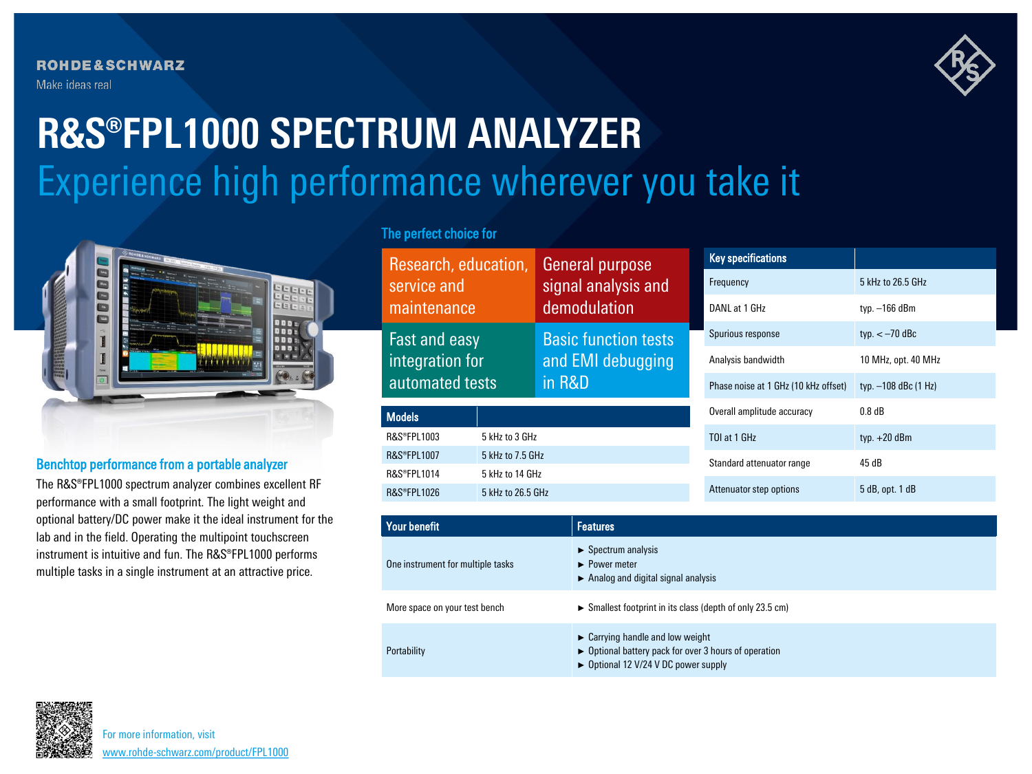**ROHDE&SCHWARZ** Make ideas real



# Experience high performance wherever you take it **R&S®FPL1000 SPECTRUM ANALYZER**



### Benchtop performance from a portable analyzer

The R&S®FPL1000 spectrum analyzer combines excellent RF performance with a small footprint. The light weight and optional battery/DC power make it the ideal instrument for the lab and in the field. Operating the multipoint touchscreen instrument is intuitive and fun. The R&S®FPL1000 performs multiple tasks in a single instrument at an attractive price.

## The perfect choice for

| Research, education,<br>service and<br>maintenance  |                   | General purpose<br>signal analysis and<br>demodulation     | <b>Key specifications</b>            |                      |
|-----------------------------------------------------|-------------------|------------------------------------------------------------|--------------------------------------|----------------------|
|                                                     |                   |                                                            | Frequency                            | 5 kHz to 26.5 GHz    |
|                                                     |                   |                                                            | DANL at 1 GHz                        | typ. $-166$ dBm      |
| Fast and easy<br>integration for<br>automated tests |                   | <b>Basic function tests</b><br>and EMI debugging<br>in R&D | Spurious response                    | typ. $<-70$ dBc      |
|                                                     |                   |                                                            | Analysis bandwidth                   | 10 MHz, opt. 40 MHz  |
|                                                     |                   |                                                            | Phase noise at 1 GHz (10 kHz offset) | typ. -108 dBc (1 Hz) |
| <b>Models</b>                                       |                   | Overall amplitude accuracy                                 | $0.8$ dB                             |                      |
| <b>R&amp;S®FPL1003</b>                              | 5 kHz to 3 GHz    |                                                            | TOI at 1 GHz                         | typ. $+20$ dBm       |
| <b>R&amp;S®FPL1007</b>                              | 5 kHz to 7.5 GHz  |                                                            | Standard attenuator range            | 45dB                 |
| <b>R&amp;S®FPL1014</b>                              | 5 kHz to 14 GHz   |                                                            |                                      |                      |
| <b>R&amp;S®FPL1026</b>                              | 5 kHz to 26.5 GHz |                                                            | Attenuator step options              | 5 dB, opt. 1 dB      |

| <b>Your benefit</b>               | <b>Features</b>                                                                                                                                                                |  |
|-----------------------------------|--------------------------------------------------------------------------------------------------------------------------------------------------------------------------------|--|
| One instrument for multiple tasks | $\triangleright$ Spectrum analysis<br>$\blacktriangleright$ Power meter<br>$\triangleright$ Analog and digital signal analysis                                                 |  |
| More space on your test bench     | $\triangleright$ Smallest footprint in its class (depth of only 23.5 cm)                                                                                                       |  |
| Portability                       | $\triangleright$ Carrying handle and low weight<br>$\triangleright$ Optional battery pack for over 3 hours of operation<br>$\triangleright$ Optional 12 V/24 V DC power supply |  |